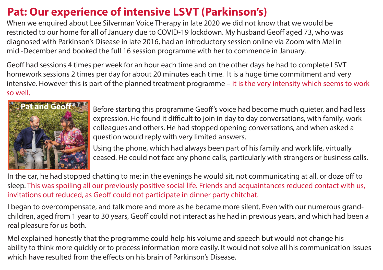## **Pat: Our experience of intensive LSVT (Parkinson's)**

When we enquired about Lee Silverman Voice Therapy in late 2020 we did not know that we would be restricted to our home for all of January due to COVID-19 lockdown. My husband Geoff aged 73, who was diagnosed with Parkinson's Disease in late 2016, had an introductory session online via Zoom with Mel in mid -December and booked the full 16 session programme with her to commence in January.

Geoff had sessions 4 times per week for an hour each time and on the other days he had to complete LSVT homework sessions 2 times per day for about 20 minutes each time. It is a huge time commitment and very intensive. However this is part of the planned treatment programme – it is the very intensity which seems to work so well.



Before starting this programme Geoff's voice had become much quieter, and had less expression. He found it difficult to join in day to day conversations, with family, work colleagues and others. He had stopped opening conversations, and when asked a question would reply with very limited answers.

Using the phone, which had always been part of his family and work life, virtually ceased. He could not face any phone calls, particularly with strangers or business calls.

In the car, he had stopped chatting to me; in the evenings he would sit, not communicating at all, or doze off to sleep. This was spoiling all our previously positive social life. Friends and acquaintances reduced contact with us, invitations out reduced, as Geoff could not participate in dinner party chitchat.

I began to overcompensate, and talk more and more as he became more silent. Even with our numerous grandchildren, aged from 1 year to 30 years, Geoff could not interact as he had in previous years, and which had been a real pleasure for us both.

Mel explained honestly that the programme could help his volume and speech but would not change his ability to think more quickly or to process information more easily. It would not solve all his communication issues which have resulted from the effects on his brain of Parkinson's Disease.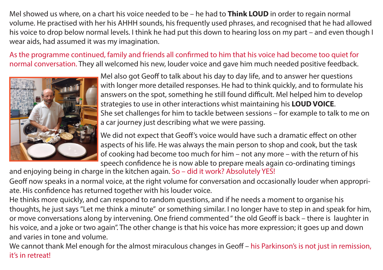Mel showed us where, on a chart his voice needed to be – he had to **Think LOUD** in order to regain normal volume. He practised with her his AHHH sounds, his frequently used phrases, and recognised that he had allowed his voice to drop below normal levels. I think he had put this down to hearing loss on my part – and even though I wear aids, had assumed it was my imagination.

As the programme continued, family and friends all confirmed to him that his voice had become too quiet for normal conversation. They all welcomed his new, louder voice and gave him much needed positive feedback.



Mel also got Geoff to talk about his day to day life, and to answer her questions with longer more detailed responses. He had to think quickly, and to formulate his answers on the spot, something he still found difficult. Mel helped him to develop strategies to use in other interactions whist maintaining his **LOUD VOICE**. She set challenges for him to tackle between sessions – for example to talk to me on a car journey just describing what we were passing.

We did not expect that Geoff's voice would have such a dramatic effect on other aspects of his life. He was always the main person to shop and cook, but the task of cooking had become too much for him – not any more – with the return of his speech confidence he is now able to prepare meals again co-ordinating timings

and enjoying being in charge in the kitchen again. So – did it work? Absolutely YES!

Geoff now speaks in a normal voice, at the right volume for conversation and occasionally louder when appropriate. His confidence has returned together with his louder voice.

He thinks more quickly, and can respond to random questions, and if he needs a moment to organise his thoughts, he just says "Let me think a minute" or something similar. I no longer have to step in and speak for him, or move conversations along by intervening. One friend commented " the old Geoff is back – there is laughter in his voice, and a joke or two again". The other change is that his voice has more expression; it goes up and down and varies in tone and volume.

We cannot thank Mel enough for the almost miraculous changes in Geoff – his Parkinson's is not just in remission, it's in retreat!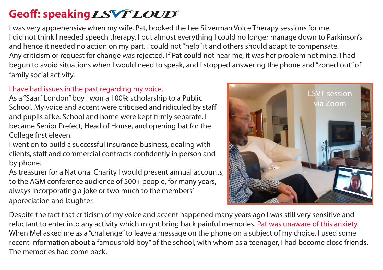## Geoff: speaking *LSVT LOUD*

I was very apprehensive when my wife, Pat, booked the Lee Silverman Voice Therapy sessions for me. I did not think I needed speech therapy. I put almost everything I could no longer manage down to Parkinson's and hence it needed no action on my part. I could not "help" it and others should adapt to compensate. Any criticism or request for change was rejected. If Pat could not hear me, it was her problem not mine. I had begun to avoid situations when I would need to speak, and I stopped answering the phone and "zoned out" of family social activity.

## I have had issues in the past regarding my voice.

As a "Saarf London" boy I won a 100% scholarship to a Public School. My voice and accent were criticised and ridiculed by staff and pupils alike. School and home were kept firmly separate. I became Senior Prefect, Head of House, and opening bat for the College first eleven.

I went on to build a successful insurance business, dealing with clients, staff and commercial contracts confidently in person and by phone.

As treasurer for a National Charity I would present annual accounts, to the AGM conference audience of 500+ people, for many years, always incorporating a joke or two much to the members' appreciation and laughter.



Despite the fact that criticism of my voice and accent happened many years ago I was still very sensitive and reluctant to enter into any activity which might bring back painful memories. Pat was unaware of this anxiety. When Mel asked me as a "challenge" to leave a message on the phone on a subject of my choice, I used some recent information about a famous "old boy" of the school, with whom as a teenager, I had become close friends. The memories had come back.